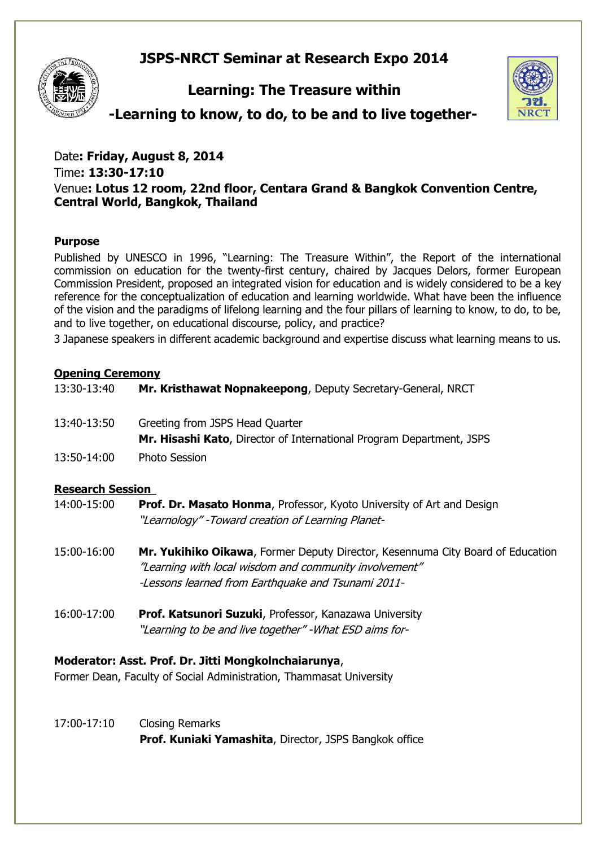# **JSPS-NRCT Seminar at Research Expo 2014**



# **Learning: The Treasure within**



**-Learning to know, to do, to be and to live together-**

Date**: Friday, August 8, 2014**  Time**: 13:30-17:10** Venue**: Lotus 12 room, 22nd floor, Centara Grand & Bangkok Convention Centre, Central World, Bangkok, Thailand**

## **Purpose**

Published by UNESCO in 1996, "Learning: The Treasure Within", the Report of the international commission on education for the twenty-first century, chaired by Jacques Delors, former European Commission President, proposed an integrated vision for education and is widely considered to be a key reference for the conceptualization of education and learning worldwide. What have been the influence of the vision and the paradigms of lifelong learning and the four pillars of learning to know, to do, to be, and to live together, on educational discourse, policy, and practice?

3 Japanese speakers in different academic background and expertise discuss what learning means to us.

## **Opening Ceremony**

| Baaannah Caaalam |                                                                                                         |
|------------------|---------------------------------------------------------------------------------------------------------|
| 13:50-14:00      | <b>Photo Session</b>                                                                                    |
| 13:40-13:50      | Greeting from JSPS Head Quarter<br>Mr. Hisashi Kato, Director of International Program Department, JSPS |
| 13:30-13:40      | Mr. Kristhawat Nopnakeepong, Deputy Secretary-General, NRCT                                             |

## **Research Session**

| 14:00-15:00 | <b>Prof. Dr. Masato Honma, Professor, Kyoto University of Art and Design</b> |
|-------------|------------------------------------------------------------------------------|
|             | "Learnology" -Toward creation of Learning Planet-                            |

- 15:00-16:00 **Mr. Yukihiko Oikawa**, Former Deputy Director, Kesennuma City Board of Education "Learning with local wisdom and community involvement" -Lessons learned from Earthquake and Tsunami 2011-
- 16:00-17:00 **Prof. Katsunori Suzuki**, Professor, Kanazawa University "Learning to be and live together" -What ESD aims for-

## **Moderator: Asst. Prof. Dr. Jitti Mongkolnchaiarunya**,

Former Dean, Faculty of Social Administration, Thammasat University

17:00-17:10 Closing Remarks **Prof. Kuniaki Yamashita**, Director, JSPS Bangkok office